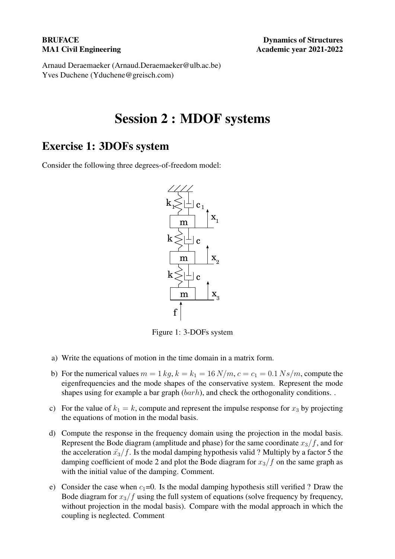Arnaud Deraemaeker (Arnaud.Deraemaeker@ulb.ac.be) Yves Duchene (Yduchene@greisch.com)

## Session 2 : MDOF systems

## Exercise 1: 3DOFs system

Consider the following three degrees-of-freedom model:



Figure 1: 3-DOFs system

- a) Write the equations of motion in the time domain in a matrix form.
- b) For the numerical values  $m = 1 kg$ ,  $k = k_1 = 16 N/m$ ,  $c = c_1 = 0.1 Ns/m$ , compute the eigenfrequencies and the mode shapes of the conservative system. Represent the mode shapes using for example a bar graph  $(barh)$ , and check the orthogonality conditions. .
- c) For the value of  $k_1 = k$ , compute and represent the impulse response for  $x_3$  by projecting the equations of motion in the modal basis.
- d) Compute the response in the frequency domain using the projection in the modal basis. Represent the Bode diagram (amplitude and phase) for the same coordinate  $x_3/f$ , and for the acceleration  $\ddot{x_3}/f$ . Is the modal damping hypothesis valid ? Multiply by a factor 5 the damping coefficient of mode 2 and plot the Bode diagram for  $x_3/f$  on the same graph as with the initial value of the damping. Comment.
- e) Consider the case when  $c_1=0$ . Is the modal damping hypothesis still verified ? Draw the Bode diagram for  $x_3/f$  using the full system of equations (solve frequency by frequency, without projection in the modal basis). Compare with the modal approach in which the coupling is neglected. Comment